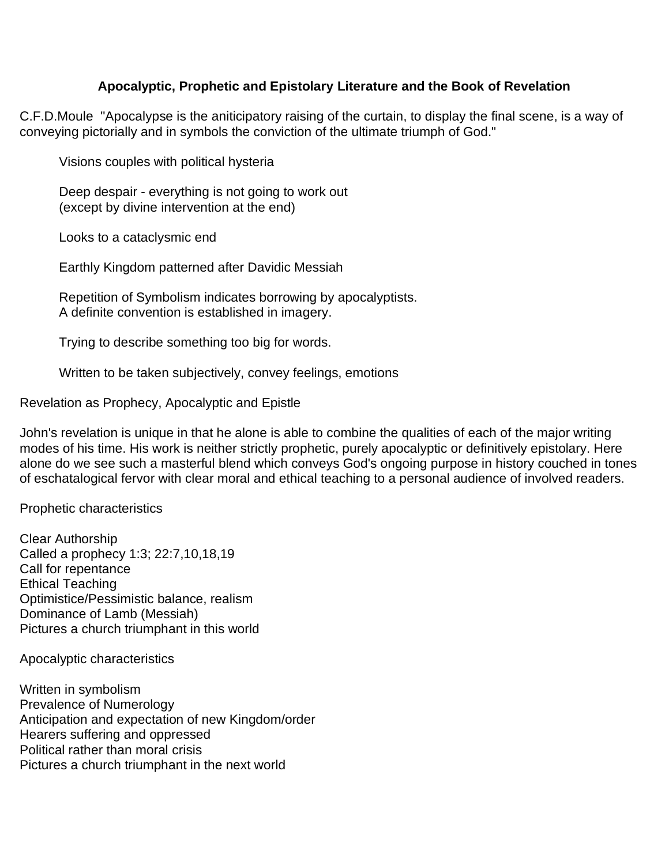## **Apocalyptic, Prophetic and Epistolary Literature and the Book of Revelation**

C.F.D.Moule "Apocalypse is the aniticipatory raising of the curtain, to display the final scene, is a way of conveying pictorially and in symbols the conviction of the ultimate triumph of God."

Visions couples with political hysteria

Deep despair - everything is not going to work out (except by divine intervention at the end)

Looks to a cataclysmic end

Earthly Kingdom patterned after Davidic Messiah

Repetition of Symbolism indicates borrowing by apocalyptists. A definite convention is established in imagery.

Trying to describe something too big for words.

Written to be taken subjectively, convey feelings, emotions

Revelation as Prophecy, Apocalyptic and Epistle

John's revelation is unique in that he alone is able to combine the qualities of each of the major writing modes of his time. His work is neither strictly prophetic, purely apocalyptic or definitively epistolary. Here alone do we see such a masterful blend which conveys God's ongoing purpose in history couched in tones of eschatalogical fervor with clear moral and ethical teaching to a personal audience of involved readers.

Prophetic characteristics

Clear Authorship Called a prophecy 1:3; 22:7,10,18,19 Call for repentance Ethical Teaching Optimistice/Pessimistic balance, realism Dominance of Lamb (Messiah) Pictures a church triumphant in this world

Apocalyptic characteristics

Written in symbolism Prevalence of Numerology Anticipation and expectation of new Kingdom/order Hearers suffering and oppressed Political rather than moral crisis Pictures a church triumphant in the next world